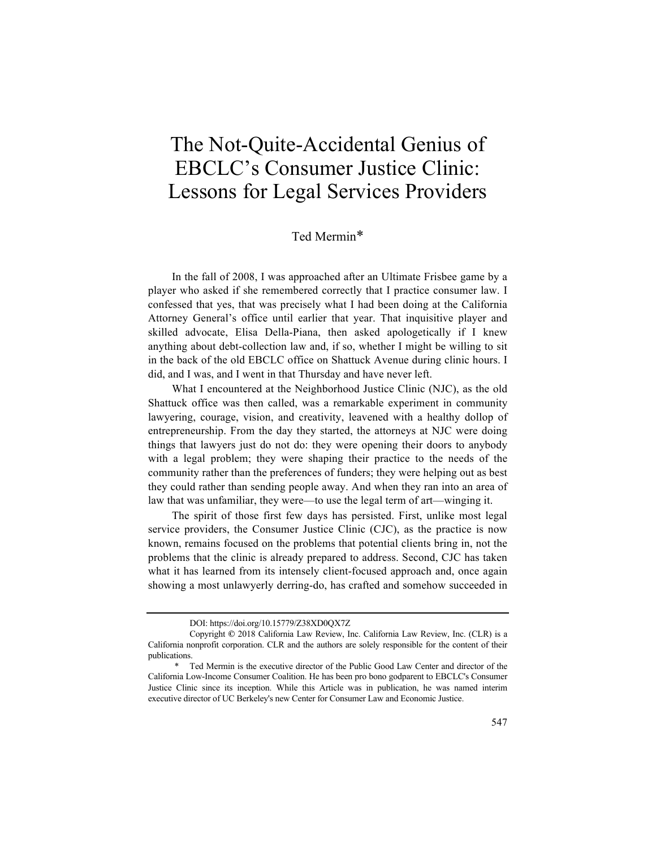# The Not-Quite-Accidental Genius of EBCLC's Consumer Justice Clinic: Lessons for Legal Services Providers

# Ted Mermin\*

In the fall of 2008, I was approached after an Ultimate Frisbee game by a player who asked if she remembered correctly that I practice consumer law. I confessed that yes, that was precisely what I had been doing at the California Attorney General's office until earlier that year. That inquisitive player and skilled advocate, Elisa Della-Piana, then asked apologetically if I knew anything about debt-collection law and, if so, whether I might be willing to sit in the back of the old EBCLC office on Shattuck Avenue during clinic hours. I did, and I was, and I went in that Thursday and have never left.

What I encountered at the Neighborhood Justice Clinic (NJC), as the old Shattuck office was then called, was a remarkable experiment in community lawyering, courage, vision, and creativity, leavened with a healthy dollop of entrepreneurship. From the day they started, the attorneys at NJC were doing things that lawyers just do not do: they were opening their doors to anybody with a legal problem; they were shaping their practice to the needs of the community rather than the preferences of funders; they were helping out as best they could rather than sending people away. And when they ran into an area of law that was unfamiliar, they were—to use the legal term of art—winging it.

The spirit of those first few days has persisted. First, unlike most legal service providers, the Consumer Justice Clinic (CJC), as the practice is now known, remains focused on the problems that potential clients bring in, not the problems that the clinic is already prepared to address. Second, CJC has taken what it has learned from its intensely client-focused approach and, once again showing a most unlawyerly derring-do, has crafted and somehow succeeded in

DOI: https://doi.org/10.15779/Z38XD0QX7Z

Copyright **©** 2018 California Law Review, Inc. California Law Review, Inc. (CLR) is a California nonprofit corporation. CLR and the authors are solely responsible for the content of their publications.

<sup>\*</sup> Ted Mermin is the executive director of the Public Good Law Center and director of the California Low-Income Consumer Coalition. He has been pro bono godparent to EBCLC's Consumer Justice Clinic since its inception. While this Article was in publication, he was named interim executive director of UC Berkeley's new Center for Consumer Law and Economic Justice.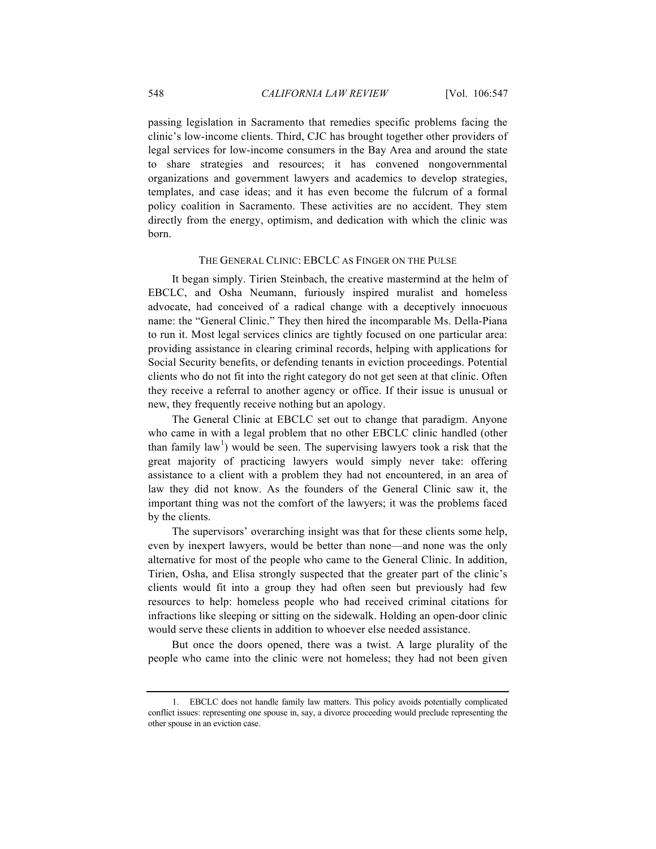passing legislation in Sacramento that remedies specific problems facing the clinic's low-income clients. Third, CJC has brought together other providers of legal services for low-income consumers in the Bay Area and around the state to share strategies and resources; it has convened nongovernmental organizations and government lawyers and academics to develop strategies, templates, and case ideas; and it has even become the fulcrum of a formal policy coalition in Sacramento. These activities are no accident. They stem directly from the energy, optimism, and dedication with which the clinic was born.

## THE GENERAL CLINIC: EBCLC AS FINGER ON THE PULSE

It began simply. Tirien Steinbach, the creative mastermind at the helm of EBCLC, and Osha Neumann, furiously inspired muralist and homeless advocate, had conceived of a radical change with a deceptively innocuous name: the "General Clinic." They then hired the incomparable Ms. Della-Piana to run it. Most legal services clinics are tightly focused on one particular area: providing assistance in clearing criminal records, helping with applications for Social Security benefits, or defending tenants in eviction proceedings. Potential clients who do not fit into the right category do not get seen at that clinic. Often they receive a referral to another agency or office. If their issue is unusual or new, they frequently receive nothing but an apology.

The General Clinic at EBCLC set out to change that paradigm. Anyone who came in with a legal problem that no other EBCLC clinic handled (other than family  $law^1$ ) would be seen. The supervising lawyers took a risk that the great majority of practicing lawyers would simply never take: offering assistance to a client with a problem they had not encountered, in an area of law they did not know. As the founders of the General Clinic saw it, the important thing was not the comfort of the lawyers; it was the problems faced by the clients.

The supervisors' overarching insight was that for these clients some help, even by inexpert lawyers, would be better than none—and none was the only alternative for most of the people who came to the General Clinic. In addition, Tirien, Osha, and Elisa strongly suspected that the greater part of the clinic's clients would fit into a group they had often seen but previously had few resources to help: homeless people who had received criminal citations for infractions like sleeping or sitting on the sidewalk. Holding an open-door clinic would serve these clients in addition to whoever else needed assistance.

But once the doors opened, there was a twist. A large plurality of the people who came into the clinic were not homeless; they had not been given

<sup>1.</sup> EBCLC does not handle family law matters. This policy avoids potentially complicated conflict issues: representing one spouse in, say, a divorce proceeding would preclude representing the other spouse in an eviction case.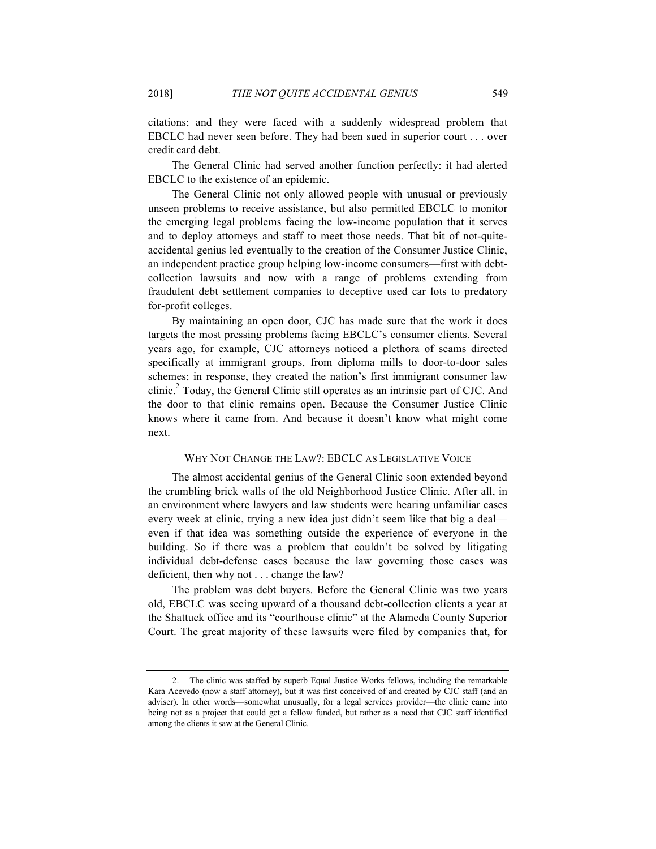citations; and they were faced with a suddenly widespread problem that EBCLC had never seen before. They had been sued in superior court . . . over credit card debt.

The General Clinic had served another function perfectly: it had alerted EBCLC to the existence of an epidemic.

The General Clinic not only allowed people with unusual or previously unseen problems to receive assistance, but also permitted EBCLC to monitor the emerging legal problems facing the low-income population that it serves and to deploy attorneys and staff to meet those needs. That bit of not-quiteaccidental genius led eventually to the creation of the Consumer Justice Clinic, an independent practice group helping low-income consumers—first with debtcollection lawsuits and now with a range of problems extending from fraudulent debt settlement companies to deceptive used car lots to predatory for-profit colleges.

By maintaining an open door, CJC has made sure that the work it does targets the most pressing problems facing EBCLC's consumer clients. Several years ago, for example, CJC attorneys noticed a plethora of scams directed specifically at immigrant groups, from diploma mills to door-to-door sales schemes; in response, they created the nation's first immigrant consumer law clinic.<sup>2</sup> Today, the General Clinic still operates as an intrinsic part of CJC. And the door to that clinic remains open. Because the Consumer Justice Clinic knows where it came from. And because it doesn't know what might come next.

### WHY NOT CHANGE THE LAW?: EBCLC AS LEGISLATIVE VOICE

The almost accidental genius of the General Clinic soon extended beyond the crumbling brick walls of the old Neighborhood Justice Clinic. After all, in an environment where lawyers and law students were hearing unfamiliar cases every week at clinic, trying a new idea just didn't seem like that big a deal even if that idea was something outside the experience of everyone in the building. So if there was a problem that couldn't be solved by litigating individual debt-defense cases because the law governing those cases was deficient, then why not . . . change the law?

The problem was debt buyers. Before the General Clinic was two years old, EBCLC was seeing upward of a thousand debt-collection clients a year at the Shattuck office and its "courthouse clinic" at the Alameda County Superior Court. The great majority of these lawsuits were filed by companies that, for

<sup>2.</sup> The clinic was staffed by superb Equal Justice Works fellows, including the remarkable Kara Acevedo (now a staff attorney), but it was first conceived of and created by CJC staff (and an adviser). In other words—somewhat unusually, for a legal services provider—the clinic came into being not as a project that could get a fellow funded, but rather as a need that CJC staff identified among the clients it saw at the General Clinic.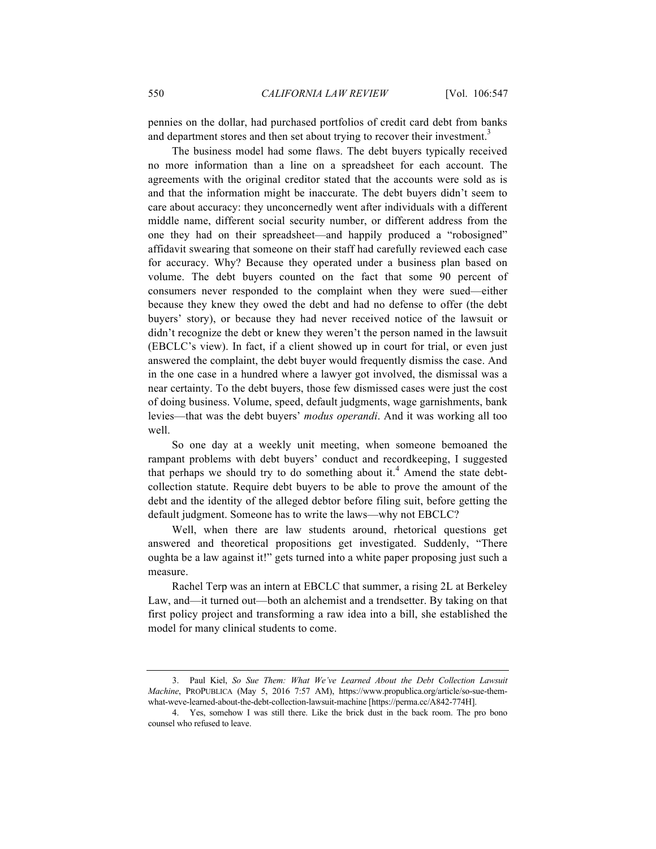pennies on the dollar, had purchased portfolios of credit card debt from banks and department stores and then set about trying to recover their investment.<sup>3</sup>

The business model had some flaws. The debt buyers typically received no more information than a line on a spreadsheet for each account. The agreements with the original creditor stated that the accounts were sold as is and that the information might be inaccurate. The debt buyers didn't seem to care about accuracy: they unconcernedly went after individuals with a different middle name, different social security number, or different address from the one they had on their spreadsheet—and happily produced a "robosigned" affidavit swearing that someone on their staff had carefully reviewed each case for accuracy. Why? Because they operated under a business plan based on volume. The debt buyers counted on the fact that some 90 percent of consumers never responded to the complaint when they were sued—either because they knew they owed the debt and had no defense to offer (the debt buyers' story), or because they had never received notice of the lawsuit or didn't recognize the debt or knew they weren't the person named in the lawsuit (EBCLC's view). In fact, if a client showed up in court for trial, or even just answered the complaint, the debt buyer would frequently dismiss the case. And in the one case in a hundred where a lawyer got involved, the dismissal was a near certainty. To the debt buyers, those few dismissed cases were just the cost of doing business. Volume, speed, default judgments, wage garnishments, bank levies—that was the debt buyers' *modus operandi*. And it was working all too well.

So one day at a weekly unit meeting, when someone bemoaned the rampant problems with debt buyers' conduct and recordkeeping, I suggested that perhaps we should try to do something about it.<sup>4</sup> Amend the state debtcollection statute. Require debt buyers to be able to prove the amount of the debt and the identity of the alleged debtor before filing suit, before getting the default judgment. Someone has to write the laws—why not EBCLC?

Well, when there are law students around, rhetorical questions get answered and theoretical propositions get investigated. Suddenly, "There oughta be a law against it!" gets turned into a white paper proposing just such a measure.

Rachel Terp was an intern at EBCLC that summer, a rising 2L at Berkeley Law, and—it turned out—both an alchemist and a trendsetter. By taking on that first policy project and transforming a raw idea into a bill, she established the model for many clinical students to come.

<sup>3.</sup> Paul Kiel, *So Sue Them: What We've Learned About the Debt Collection Lawsuit Machine*, PROPUBLICA (May 5, 2016 7:57 AM), https://www.propublica.org/article/so-sue-themwhat-weve-learned-about-the-debt-collection-lawsuit-machine [https://perma.cc/A842-774H].

<sup>4.</sup> Yes, somehow I was still there. Like the brick dust in the back room. The pro bono counsel who refused to leave.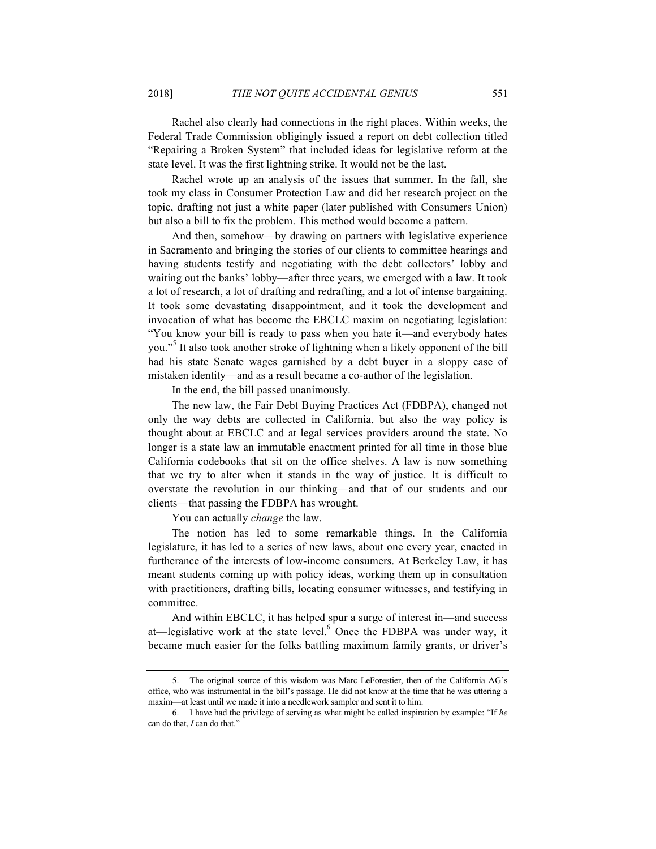Rachel also clearly had connections in the right places. Within weeks, the Federal Trade Commission obligingly issued a report on debt collection titled "Repairing a Broken System" that included ideas for legislative reform at the state level. It was the first lightning strike. It would not be the last.

Rachel wrote up an analysis of the issues that summer. In the fall, she took my class in Consumer Protection Law and did her research project on the topic, drafting not just a white paper (later published with Consumers Union) but also a bill to fix the problem. This method would become a pattern.

And then, somehow—by drawing on partners with legislative experience in Sacramento and bringing the stories of our clients to committee hearings and having students testify and negotiating with the debt collectors' lobby and waiting out the banks' lobby—after three years, we emerged with a law. It took a lot of research, a lot of drafting and redrafting, and a lot of intense bargaining. It took some devastating disappointment, and it took the development and invocation of what has become the EBCLC maxim on negotiating legislation: "You know your bill is ready to pass when you hate it—and everybody hates you."<sup>5</sup> It also took another stroke of lightning when a likely opponent of the bill had his state Senate wages garnished by a debt buyer in a sloppy case of mistaken identity—and as a result became a co-author of the legislation.

In the end, the bill passed unanimously.

The new law, the Fair Debt Buying Practices Act (FDBPA), changed not only the way debts are collected in California, but also the way policy is thought about at EBCLC and at legal services providers around the state. No longer is a state law an immutable enactment printed for all time in those blue California codebooks that sit on the office shelves. A law is now something that we try to alter when it stands in the way of justice. It is difficult to overstate the revolution in our thinking—and that of our students and our clients—that passing the FDBPA has wrought.

You can actually *change* the law.

The notion has led to some remarkable things. In the California legislature, it has led to a series of new laws, about one every year, enacted in furtherance of the interests of low-income consumers. At Berkeley Law, it has meant students coming up with policy ideas, working them up in consultation with practitioners, drafting bills, locating consumer witnesses, and testifying in committee.

And within EBCLC, it has helped spur a surge of interest in—and success at—legislative work at the state level. $6$  Once the FDBPA was under way, it became much easier for the folks battling maximum family grants, or driver's

<sup>5.</sup> The original source of this wisdom was Marc LeForestier, then of the California AG's office, who was instrumental in the bill's passage. He did not know at the time that he was uttering a maxim—at least until we made it into a needlework sampler and sent it to him.

<sup>6.</sup> I have had the privilege of serving as what might be called inspiration by example: "If *he* can do that, *I* can do that."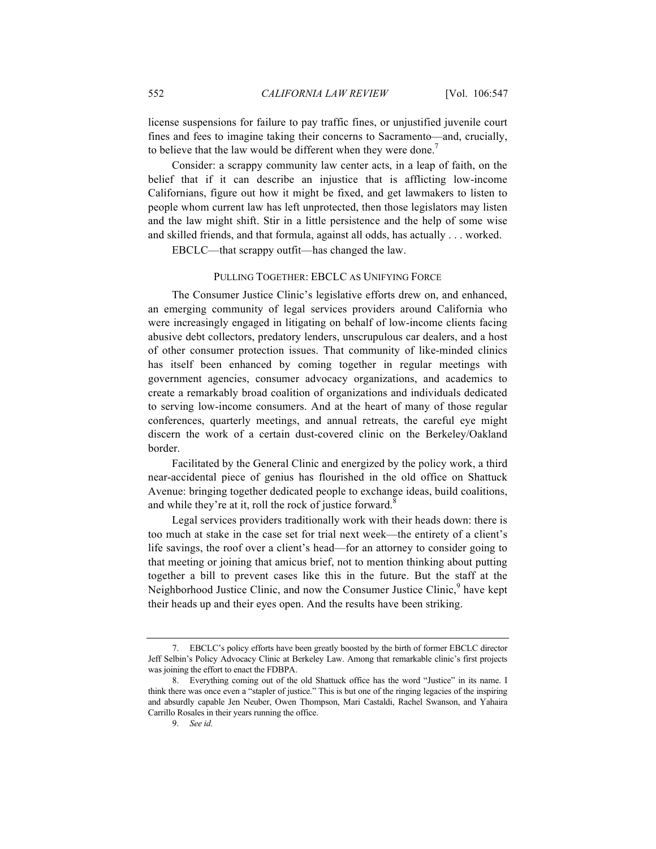license suspensions for failure to pay traffic fines, or unjustified juvenile court fines and fees to imagine taking their concerns to Sacramento—and, crucially, to believe that the law would be different when they were done.<sup>7</sup>

Consider: a scrappy community law center acts, in a leap of faith, on the belief that if it can describe an injustice that is afflicting low-income Californians, figure out how it might be fixed, and get lawmakers to listen to people whom current law has left unprotected, then those legislators may listen and the law might shift. Stir in a little persistence and the help of some wise and skilled friends, and that formula, against all odds, has actually . . . worked.

EBCLC—that scrappy outfit—has changed the law.

### PULLING TOGETHER: EBCLC AS UNIFYING FORCE

The Consumer Justice Clinic's legislative efforts drew on, and enhanced, an emerging community of legal services providers around California who were increasingly engaged in litigating on behalf of low-income clients facing abusive debt collectors, predatory lenders, unscrupulous car dealers, and a host of other consumer protection issues. That community of like-minded clinics has itself been enhanced by coming together in regular meetings with government agencies, consumer advocacy organizations, and academics to create a remarkably broad coalition of organizations and individuals dedicated to serving low-income consumers. And at the heart of many of those regular conferences, quarterly meetings, and annual retreats, the careful eye might discern the work of a certain dust-covered clinic on the Berkeley/Oakland border.

Facilitated by the General Clinic and energized by the policy work, a third near-accidental piece of genius has flourished in the old office on Shattuck Avenue: bringing together dedicated people to exchange ideas, build coalitions, and while they're at it, roll the rock of justice forward.<sup>8</sup>

Legal services providers traditionally work with their heads down: there is too much at stake in the case set for trial next week—the entirety of a client's life savings, the roof over a client's head—for an attorney to consider going to that meeting or joining that amicus brief, not to mention thinking about putting together a bill to prevent cases like this in the future. But the staff at the Neighborhood Justice Clinic, and now the Consumer Justice Clinic,<sup>9</sup> have kept their heads up and their eyes open. And the results have been striking.

<sup>7.</sup> EBCLC's policy efforts have been greatly boosted by the birth of former EBCLC director Jeff Selbin's Policy Advocacy Clinic at Berkeley Law. Among that remarkable clinic's first projects was joining the effort to enact the FDBPA.

<sup>8.</sup> Everything coming out of the old Shattuck office has the word "Justice" in its name. I think there was once even a "stapler of justice." This is but one of the ringing legacies of the inspiring and absurdly capable Jen Neuber, Owen Thompson, Mari Castaldi, Rachel Swanson, and Yahaira Carrillo Rosales in their years running the office.

<sup>9.</sup> *See id.*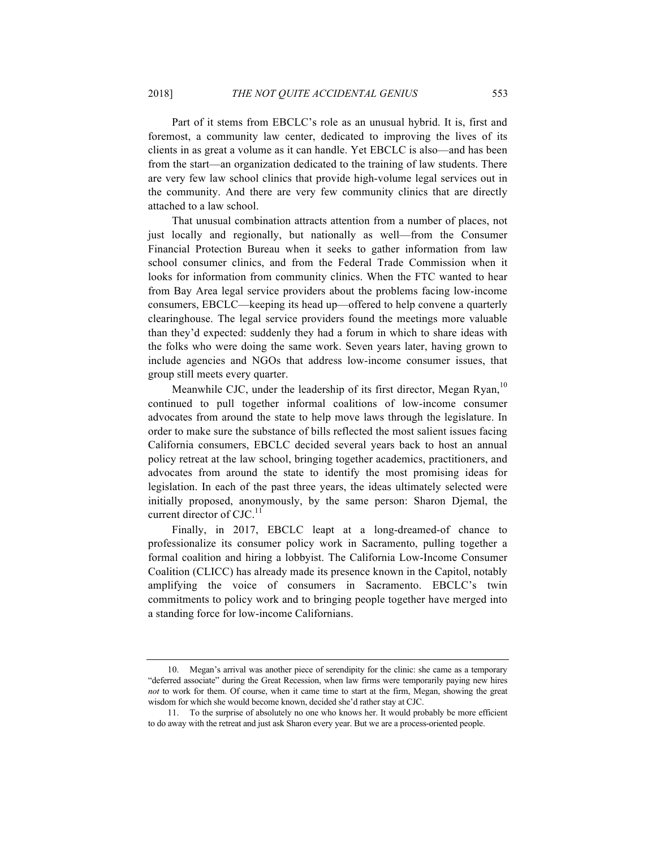Part of it stems from EBCLC's role as an unusual hybrid. It is, first and foremost, a community law center, dedicated to improving the lives of its clients in as great a volume as it can handle. Yet EBCLC is also—and has been from the start—an organization dedicated to the training of law students. There are very few law school clinics that provide high-volume legal services out in the community. And there are very few community clinics that are directly attached to a law school.

That unusual combination attracts attention from a number of places, not just locally and regionally, but nationally as well—from the Consumer Financial Protection Bureau when it seeks to gather information from law school consumer clinics, and from the Federal Trade Commission when it looks for information from community clinics. When the FTC wanted to hear from Bay Area legal service providers about the problems facing low-income consumers, EBCLC—keeping its head up—offered to help convene a quarterly clearinghouse. The legal service providers found the meetings more valuable than they'd expected: suddenly they had a forum in which to share ideas with the folks who were doing the same work. Seven years later, having grown to include agencies and NGOs that address low-income consumer issues, that group still meets every quarter.

Meanwhile CJC, under the leadership of its first director, Megan Ryan,<sup>10</sup> continued to pull together informal coalitions of low-income consumer advocates from around the state to help move laws through the legislature. In order to make sure the substance of bills reflected the most salient issues facing California consumers, EBCLC decided several years back to host an annual policy retreat at the law school, bringing together academics, practitioners, and advocates from around the state to identify the most promising ideas for legislation. In each of the past three years, the ideas ultimately selected were initially proposed, anonymously, by the same person: Sharon Djemal, the current director of CJC.<sup>11</sup>

Finally, in 2017, EBCLC leapt at a long-dreamed-of chance to professionalize its consumer policy work in Sacramento, pulling together a formal coalition and hiring a lobbyist. The California Low-Income Consumer Coalition (CLICC) has already made its presence known in the Capitol, notably amplifying the voice of consumers in Sacramento. EBCLC's twin commitments to policy work and to bringing people together have merged into a standing force for low-income Californians.

<sup>10.</sup> Megan's arrival was another piece of serendipity for the clinic: she came as a temporary "deferred associate" during the Great Recession, when law firms were temporarily paying new hires *not* to work for them. Of course, when it came time to start at the firm, Megan, showing the great wisdom for which she would become known, decided she'd rather stay at CJC.

<sup>11.</sup> To the surprise of absolutely no one who knows her. It would probably be more efficient to do away with the retreat and just ask Sharon every year. But we are a process-oriented people.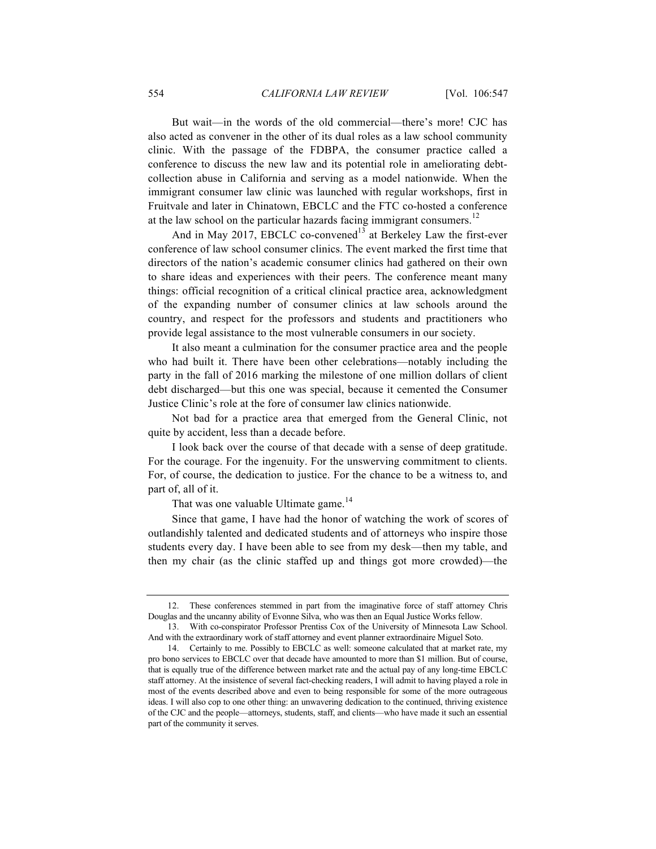But wait—in the words of the old commercial—there's more! CJC has also acted as convener in the other of its dual roles as a law school community clinic. With the passage of the FDBPA, the consumer practice called a conference to discuss the new law and its potential role in ameliorating debtcollection abuse in California and serving as a model nationwide. When the immigrant consumer law clinic was launched with regular workshops, first in Fruitvale and later in Chinatown, EBCLC and the FTC co-hosted a conference at the law school on the particular hazards facing immigrant consumers.<sup>12</sup>

And in May 2017, EBCLC co-convened<sup>13</sup> at Berkeley Law the first-ever conference of law school consumer clinics. The event marked the first time that directors of the nation's academic consumer clinics had gathered on their own to share ideas and experiences with their peers. The conference meant many things: official recognition of a critical clinical practice area, acknowledgment of the expanding number of consumer clinics at law schools around the country, and respect for the professors and students and practitioners who provide legal assistance to the most vulnerable consumers in our society.

It also meant a culmination for the consumer practice area and the people who had built it. There have been other celebrations—notably including the party in the fall of 2016 marking the milestone of one million dollars of client debt discharged—but this one was special, because it cemented the Consumer Justice Clinic's role at the fore of consumer law clinics nationwide.

Not bad for a practice area that emerged from the General Clinic, not quite by accident, less than a decade before.

I look back over the course of that decade with a sense of deep gratitude. For the courage. For the ingenuity. For the unswerving commitment to clients. For, of course, the dedication to justice. For the chance to be a witness to, and part of, all of it.

That was one valuable Ultimate game.<sup>14</sup>

Since that game, I have had the honor of watching the work of scores of outlandishly talented and dedicated students and of attorneys who inspire those students every day. I have been able to see from my desk—then my table, and then my chair (as the clinic staffed up and things got more crowded)—the

<sup>12.</sup> These conferences stemmed in part from the imaginative force of staff attorney Chris Douglas and the uncanny ability of Evonne Silva, who was then an Equal Justice Works fellow.

<sup>13.</sup> With co-conspirator Professor Prentiss Cox of the University of Minnesota Law School. And with the extraordinary work of staff attorney and event planner extraordinaire Miguel Soto.

<sup>14.</sup> Certainly to me. Possibly to EBCLC as well: someone calculated that at market rate, my pro bono services to EBCLC over that decade have amounted to more than \$1 million. But of course, that is equally true of the difference between market rate and the actual pay of any long-time EBCLC staff attorney. At the insistence of several fact-checking readers, I will admit to having played a role in most of the events described above and even to being responsible for some of the more outrageous ideas. I will also cop to one other thing: an unwavering dedication to the continued, thriving existence of the CJC and the people—attorneys, students, staff, and clients—who have made it such an essential part of the community it serves.